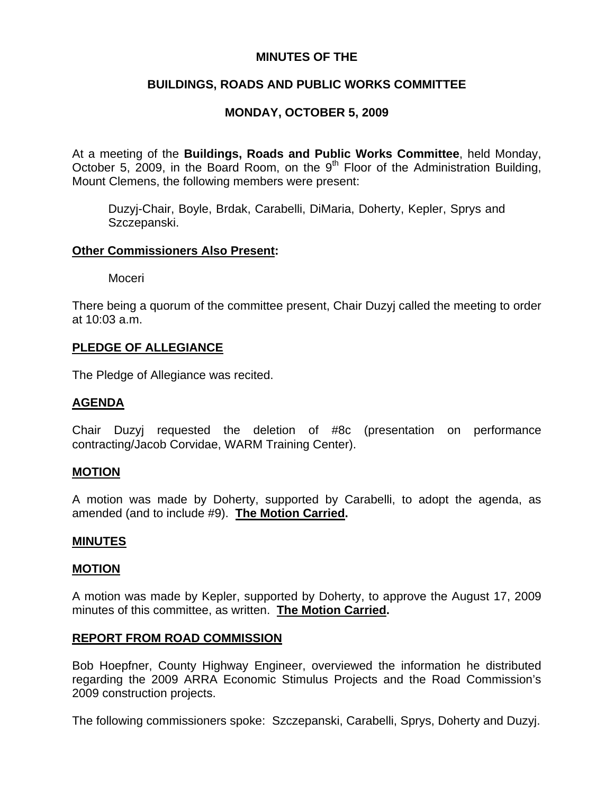## **MINUTES OF THE**

## **BUILDINGS, ROADS AND PUBLIC WORKS COMMITTEE**

# **MONDAY, OCTOBER 5, 2009**

At a meeting of the **Buildings, Roads and Public Works Committee**, held Monday, October 5, 2009, in the Board Room, on the  $9<sup>th</sup>$  Floor of the Administration Building, Mount Clemens, the following members were present:

Duzyj-Chair, Boyle, Brdak, Carabelli, DiMaria, Doherty, Kepler, Sprys and Szczepanski.

### **Other Commissioners Also Present:**

Moceri

There being a quorum of the committee present, Chair Duzyj called the meeting to order at 10:03 a.m.

### **PLEDGE OF ALLEGIANCE**

The Pledge of Allegiance was recited.

### **AGENDA**

Chair Duzyj requested the deletion of #8c (presentation on performance contracting/Jacob Corvidae, WARM Training Center).

### **MOTION**

A motion was made by Doherty, supported by Carabelli, to adopt the agenda, as amended (and to include #9). **The Motion Carried.** 

### **MINUTES**

#### **MOTION**

A motion was made by Kepler, supported by Doherty, to approve the August 17, 2009 minutes of this committee, as written. **The Motion Carried.** 

## **REPORT FROM ROAD COMMISSION**

Bob Hoepfner, County Highway Engineer, overviewed the information he distributed regarding the 2009 ARRA Economic Stimulus Projects and the Road Commission's 2009 construction projects.

The following commissioners spoke: Szczepanski, Carabelli, Sprys, Doherty and Duzyj.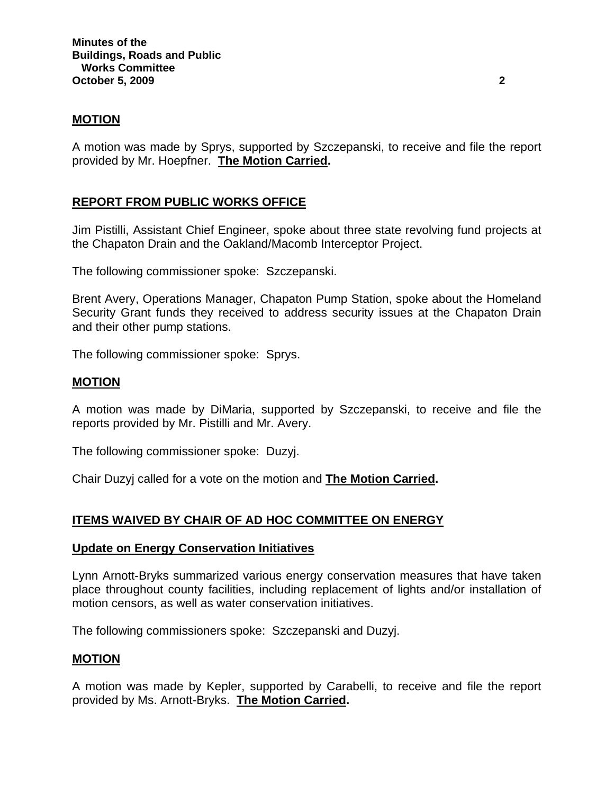## **MOTION**

A motion was made by Sprys, supported by Szczepanski, to receive and file the report provided by Mr. Hoepfner. **The Motion Carried.** 

## **REPORT FROM PUBLIC WORKS OFFICE**

Jim Pistilli, Assistant Chief Engineer, spoke about three state revolving fund projects at the Chapaton Drain and the Oakland/Macomb Interceptor Project.

The following commissioner spoke: Szczepanski.

Brent Avery, Operations Manager, Chapaton Pump Station, spoke about the Homeland Security Grant funds they received to address security issues at the Chapaton Drain and their other pump stations.

The following commissioner spoke: Sprys.

### **MOTION**

A motion was made by DiMaria, supported by Szczepanski, to receive and file the reports provided by Mr. Pistilli and Mr. Avery.

The following commissioner spoke: Duzyj.

Chair Duzyj called for a vote on the motion and **The Motion Carried.**

## **ITEMS WAIVED BY CHAIR OF AD HOC COMMITTEE ON ENERGY**

### **Update on Energy Conservation Initiatives**

Lynn Arnott-Bryks summarized various energy conservation measures that have taken place throughout county facilities, including replacement of lights and/or installation of motion censors, as well as water conservation initiatives.

The following commissioners spoke: Szczepanski and Duzyj.

### **MOTION**

A motion was made by Kepler, supported by Carabelli, to receive and file the report provided by Ms. Arnott-Bryks. **The Motion Carried.**